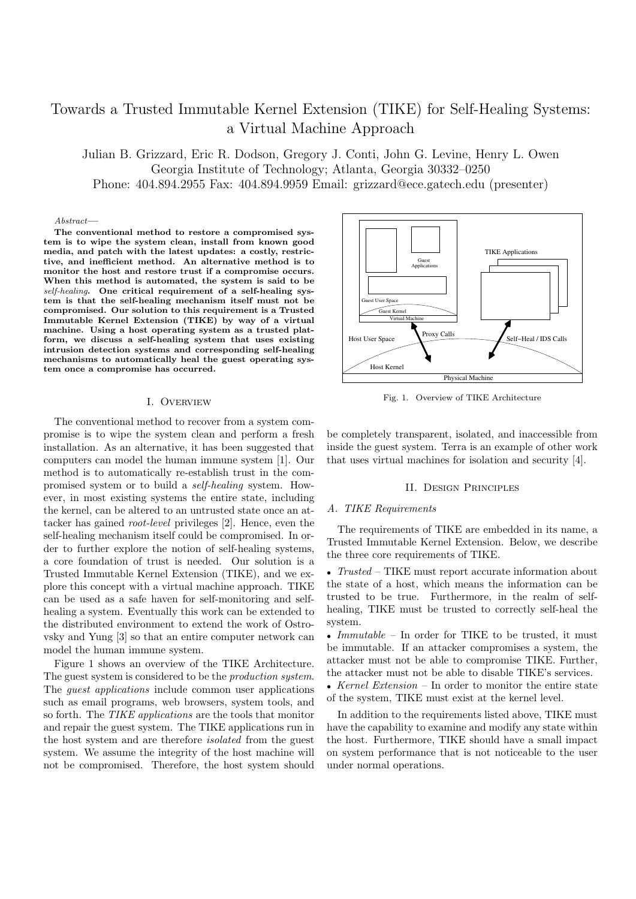# Towards a Trusted Immutable Kernel Extension (TIKE) for Self-Healing Systems: a Virtual Machine Approach

Julian B. Grizzard, Eric R. Dodson, Gregory J. Conti, John G. Levine, Henry L. Owen Georgia Institute of Technology; Atlanta, Georgia 30332–0250 Phone: 404.894.2955 Fax: 404.894.9959 Email: grizzard@ece.gatech.edu (presenter)

#### Abstract—

The conventional method to restore a compromised system is to wipe the system clean, install from known good media, and patch with the latest updates: a costly, restrictive, and inefficient method. An alternative method is to monitor the host and restore trust if a compromise occurs. When this method is automated, the system is said to be self-healing. One critical requirement of a self-healing system is that the self-healing mechanism itself must not be compromised. Our solution to this requirement is a Trusted Immutable Kernel Extension (TIKE) by way of a virtual machine. Using a host operating system as a trusted platform, we discuss a self-healing system that uses existing intrusion detection systems and corresponding self-healing mechanisms to automatically heal the guest operating system once a compromise has occurred.

#### I. Overview

The conventional method to recover from a system compromise is to wipe the system clean and perform a fresh installation. As an alternative, it has been suggested that computers can model the human immune system [1]. Our method is to automatically re-establish trust in the compromised system or to build a self-healing system. However, in most existing systems the entire state, including the kernel, can be altered to an untrusted state once an attacker has gained root-level privileges [2]. Hence, even the self-healing mechanism itself could be compromised. In order to further explore the notion of self-healing systems, a core foundation of trust is needed. Our solution is a Trusted Immutable Kernel Extension (TIKE), and we explore this concept with a virtual machine approach. TIKE can be used as a safe haven for self-monitoring and selfhealing a system. Eventually this work can be extended to the distributed environment to extend the work of Ostrovsky and Yung [3] so that an entire computer network can model the human immune system.

Figure 1 shows an overview of the TIKE Architecture. The guest system is considered to be the production system. The *quest applications* include common user applications such as email programs, web browsers, system tools, and so forth. The TIKE applications are the tools that monitor and repair the guest system. The TIKE applications run in the host system and are therefore isolated from the guest system. We assume the integrity of the host machine will not be compromised. Therefore, the host system should



Fig. 1. Overview of TIKE Architecture

be completely transparent, isolated, and inaccessible from inside the guest system. Terra is an example of other work that uses virtual machines for isolation and security [4].

### II. Design Principles

#### A. TIKE Requirements

The requirements of TIKE are embedded in its name, a Trusted Immutable Kernel Extension. Below, we describe the three core requirements of TIKE.

• *Trusted* – TIKE must report accurate information about the state of a host, which means the information can be trusted to be true. Furthermore, in the realm of selfhealing, TIKE must be trusted to correctly self-heal the system.

• *Immutable* – In order for TIKE to be trusted, it must be immutable. If an attacker compromises a system, the attacker must not be able to compromise TIKE. Further, the attacker must not be able to disable TIKE's services.

• Kernel Extension – In order to monitor the entire state of the system, TIKE must exist at the kernel level.

In addition to the requirements listed above, TIKE must have the capability to examine and modify any state within the host. Furthermore, TIKE should have a small impact on system performance that is not noticeable to the user under normal operations.